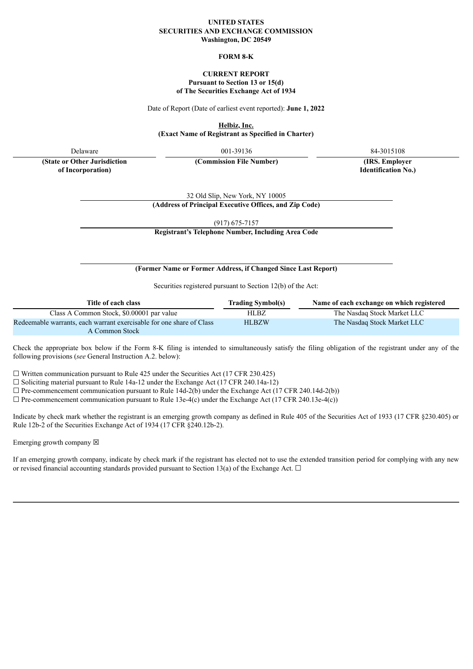#### **UNITED STATES SECURITIES AND EXCHANGE COMMISSION Washington, DC 20549**

### **FORM 8-K**

## **CURRENT REPORT Pursuant to Section 13 or 15(d) of The Securities Exchange Act of 1934**

Date of Report (Date of earliest event reported): **June 1, 2022**

**Helbiz, Inc.**

**(Exact Name of Registrant as Specified in Charter)**

Delaware 84-3015108 001-39136 84-3015108

**(Commission File Number) (IRS. Employer**

**(State or Other Jurisdiction of Incorporation)**

**Identification No.)**

32 Old Slip, New York, NY 10005

**(Address of Principal Executive Offices, and Zip Code)**

(917) 675-7157

**Registrant's Telephone Number, Including Area Code**

## **(Former Name or Former Address, if Changed Since Last Report)**

Securities registered pursuant to Section 12(b) of the Act:

| Title of each class                                                  | <b>Trading Symbol(s)</b> | Name of each exchange on which registered |
|----------------------------------------------------------------------|--------------------------|-------------------------------------------|
| Class A Common Stock, \$0,00001 par value                            | HLBZ.                    | The Nasdaq Stock Market LLC               |
| Redeemable warrants, each warrant exercisable for one share of Class | <b>HLBZW</b>             | The Nasdaq Stock Market LLC               |
| A Common Stock                                                       |                          |                                           |

Check the appropriate box below if the Form 8-K filing is intended to simultaneously satisfy the filing obligation of the registrant under any of the following provisions (*see* General Instruction A.2. below):

 $\Box$  Written communication pursuant to Rule 425 under the Securities Act (17 CFR 230.425)

☐ Soliciting material pursuant to Rule 14a-12 under the Exchange Act (17 CFR 240.14a-12)

 $\Box$  Pre-commencement communication pursuant to Rule 14d-2(b) under the Exchange Act (17 CFR 240.14d-2(b))

 $\Box$  Pre-commencement communication pursuant to Rule 13e-4(c) under the Exchange Act (17 CFR 240.13e-4(c))

Indicate by check mark whether the registrant is an emerging growth company as defined in Rule 405 of the Securities Act of 1933 (17 CFR §230.405) or Rule 12b-2 of the Securities Exchange Act of 1934 (17 CFR §240.12b-2).

Emerging growth company  $\boxtimes$ 

If an emerging growth company, indicate by check mark if the registrant has elected not to use the extended transition period for complying with any new or revised financial accounting standards provided pursuant to Section 13(a) of the Exchange Act.  $\Box$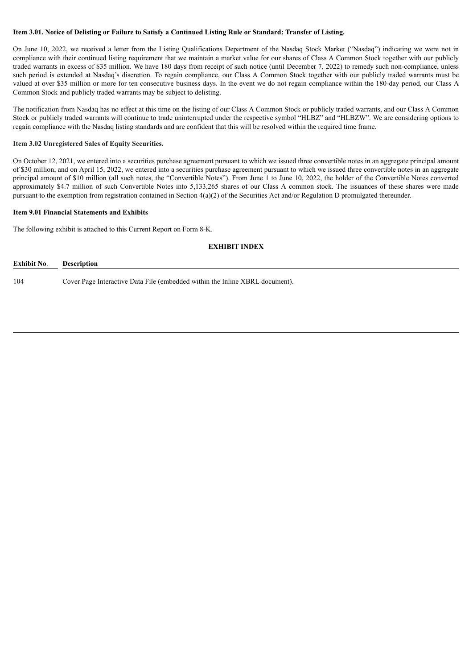## Item 3.01. Notice of Delisting or Failure to Satisfy a Continued Listing Rule or Standard; Transfer of Listing.

On June 10, 2022, we received a letter from the Listing Qualifications Department of the Nasdaq Stock Market ("Nasdaq") indicating we were not in compliance with their continued listing requirement that we maintain a market value for our shares of Class A Common Stock together with our publicly traded warrants in excess of \$35 million. We have 180 days from receipt of such notice (until December 7, 2022) to remedy such non-compliance, unless such period is extended at Nasdaq's discretion. To regain compliance, our Class A Common Stock together with our publicly traded warrants must be valued at over \$35 million or more for ten consecutive business days. In the event we do not regain compliance within the 180-day period, our Class A Common Stock and publicly traded warrants may be subject to delisting.

The notification from Nasdaq has no effect at this time on the listing of our Class A Common Stock or publicly traded warrants, and our Class A Common Stock or publicly traded warrants will continue to trade uninterrupted under the respective symbol "HLBZ" and "HLBZW". We are considering options to regain compliance with the Nasdaq listing standards and are confident that this will be resolved within the required time frame.

#### **Item 3.02 Unregistered Sales of Equity Securities.**

On October 12, 2021, we entered into a securities purchase agreement pursuant to which we issued three convertible notes in an aggregate principal amount of \$30 million, and on April 15, 2022, we entered into a securities purchase agreement pursuant to which we issued three convertible notes in an aggregate principal amount of \$10 million (all such notes, the "Convertible Notes"). From June 1 to June 10, 2022, the holder of the Convertible Notes converted approximately \$4.7 million of such Convertible Notes into 5,133,265 shares of our Class A common stock. The issuances of these shares were made pursuant to the exemption from registration contained in Section 4(a)(2) of the Securities Act and/or Regulation D promulgated thereunder.

#### **Item 9.01 Financial Statements and Exhibits**

The following exhibit is attached to this Current Report on Form 8-K.

## **EXHIBIT INDEX**

| <b>Exhibit No.</b> | Description                                                                  |
|--------------------|------------------------------------------------------------------------------|
| 104                | Cover Page Interactive Data File (embedded within the Inline XBRL document). |